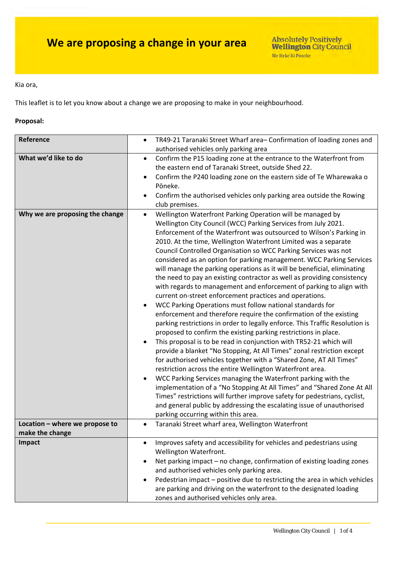Kia ora,

This leaflet is to let you know about a change we are proposing to make in your neighbourhood.

### **Proposal:**

| Reference                       | TR49-21 Taranaki Street Wharf area-Confirmation of loading zones and<br>$\bullet$                                                                                                                                                                                                                                                                                                                                                                                                                                                                                                                                                                                                                                                                                                                                                                                                                                                                                                                                                                                                                                                                                                                                                                                                                                                                                                                                                                                                                                                                                                                  |  |  |
|---------------------------------|----------------------------------------------------------------------------------------------------------------------------------------------------------------------------------------------------------------------------------------------------------------------------------------------------------------------------------------------------------------------------------------------------------------------------------------------------------------------------------------------------------------------------------------------------------------------------------------------------------------------------------------------------------------------------------------------------------------------------------------------------------------------------------------------------------------------------------------------------------------------------------------------------------------------------------------------------------------------------------------------------------------------------------------------------------------------------------------------------------------------------------------------------------------------------------------------------------------------------------------------------------------------------------------------------------------------------------------------------------------------------------------------------------------------------------------------------------------------------------------------------------------------------------------------------------------------------------------------------|--|--|
|                                 | authorised vehicles only parking area                                                                                                                                                                                                                                                                                                                                                                                                                                                                                                                                                                                                                                                                                                                                                                                                                                                                                                                                                                                                                                                                                                                                                                                                                                                                                                                                                                                                                                                                                                                                                              |  |  |
| What we'd like to do            | Confirm the P15 loading zone at the entrance to the Waterfront from<br>٠<br>the eastern end of Taranaki Street, outside Shed 22.<br>Confirm the P240 loading zone on the eastern side of Te Wharewaka o                                                                                                                                                                                                                                                                                                                                                                                                                                                                                                                                                                                                                                                                                                                                                                                                                                                                                                                                                                                                                                                                                                                                                                                                                                                                                                                                                                                            |  |  |
|                                 | Pōneke.                                                                                                                                                                                                                                                                                                                                                                                                                                                                                                                                                                                                                                                                                                                                                                                                                                                                                                                                                                                                                                                                                                                                                                                                                                                                                                                                                                                                                                                                                                                                                                                            |  |  |
|                                 |                                                                                                                                                                                                                                                                                                                                                                                                                                                                                                                                                                                                                                                                                                                                                                                                                                                                                                                                                                                                                                                                                                                                                                                                                                                                                                                                                                                                                                                                                                                                                                                                    |  |  |
|                                 | Confirm the authorised vehicles only parking area outside the Rowing<br>club premises.                                                                                                                                                                                                                                                                                                                                                                                                                                                                                                                                                                                                                                                                                                                                                                                                                                                                                                                                                                                                                                                                                                                                                                                                                                                                                                                                                                                                                                                                                                             |  |  |
| Why we are proposing the change | Wellington Waterfront Parking Operation will be managed by<br>$\bullet$<br>Wellington City Council (WCC) Parking Services from July 2021.<br>Enforcement of the Waterfront was outsourced to Wilson's Parking in<br>2010. At the time, Wellington Waterfront Limited was a separate<br>Council Controlled Organisation so WCC Parking Services was not<br>considered as an option for parking management. WCC Parking Services<br>will manage the parking operations as it will be beneficial, eliminating<br>the need to pay an existing contractor as well as providing consistency<br>with regards to management and enforcement of parking to align with<br>current on-street enforcement practices and operations.<br>WCC Parking Operations must follow national standards for<br>enforcement and therefore require the confirmation of the existing<br>parking restrictions in order to legally enforce. This Traffic Resolution is<br>proposed to confirm the existing parking restrictions in place.<br>This proposal is to be read in conjunction with TR52-21 which will<br>provide a blanket "No Stopping, At All Times" zonal restriction except<br>for authorised vehicles together with a "Shared Zone, AT All Times"<br>restriction across the entire Wellington Waterfront area.<br>WCC Parking Services managing the Waterfront parking with the<br>implementation of a "No Stopping At All Times" and "Shared Zone At All<br>Times" restrictions will further improve safety for pedestrians, cyclist,<br>and general public by addressing the escalating issue of unauthorised |  |  |
|                                 | parking occurring within this area.                                                                                                                                                                                                                                                                                                                                                                                                                                                                                                                                                                                                                                                                                                                                                                                                                                                                                                                                                                                                                                                                                                                                                                                                                                                                                                                                                                                                                                                                                                                                                                |  |  |
| Location - where we propose to  | Taranaki Street wharf area, Wellington Waterfront                                                                                                                                                                                                                                                                                                                                                                                                                                                                                                                                                                                                                                                                                                                                                                                                                                                                                                                                                                                                                                                                                                                                                                                                                                                                                                                                                                                                                                                                                                                                                  |  |  |
| make the change                 |                                                                                                                                                                                                                                                                                                                                                                                                                                                                                                                                                                                                                                                                                                                                                                                                                                                                                                                                                                                                                                                                                                                                                                                                                                                                                                                                                                                                                                                                                                                                                                                                    |  |  |
| Impact                          | Improves safety and accessibility for vehicles and pedestrians using<br>$\bullet$<br>Wellington Waterfront.                                                                                                                                                                                                                                                                                                                                                                                                                                                                                                                                                                                                                                                                                                                                                                                                                                                                                                                                                                                                                                                                                                                                                                                                                                                                                                                                                                                                                                                                                        |  |  |
|                                 | Net parking impact - no change, confirmation of existing loading zones                                                                                                                                                                                                                                                                                                                                                                                                                                                                                                                                                                                                                                                                                                                                                                                                                                                                                                                                                                                                                                                                                                                                                                                                                                                                                                                                                                                                                                                                                                                             |  |  |
|                                 | and authorised vehicles only parking area.                                                                                                                                                                                                                                                                                                                                                                                                                                                                                                                                                                                                                                                                                                                                                                                                                                                                                                                                                                                                                                                                                                                                                                                                                                                                                                                                                                                                                                                                                                                                                         |  |  |
|                                 | Pedestrian impact - positive due to restricting the area in which vehicles<br>are parking and driving on the waterfront to the designated loading<br>zones and authorised vehicles only area.                                                                                                                                                                                                                                                                                                                                                                                                                                                                                                                                                                                                                                                                                                                                                                                                                                                                                                                                                                                                                                                                                                                                                                                                                                                                                                                                                                                                      |  |  |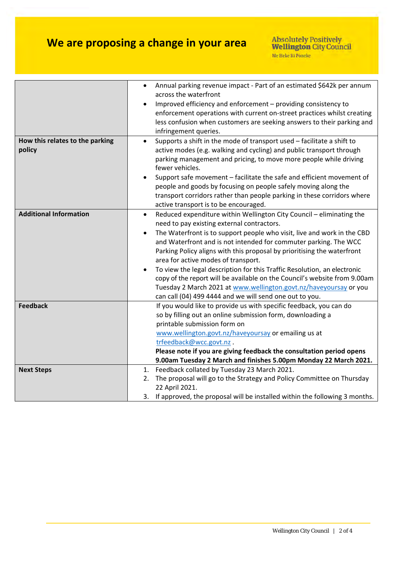# **We are proposing a change in your area**

|                                           | Annual parking revenue impact - Part of an estimated \$642k per annum                                                                                                                                                                                                                                                                                                                                                                                                                                                                                                                                                                                                                                  |
|-------------------------------------------|--------------------------------------------------------------------------------------------------------------------------------------------------------------------------------------------------------------------------------------------------------------------------------------------------------------------------------------------------------------------------------------------------------------------------------------------------------------------------------------------------------------------------------------------------------------------------------------------------------------------------------------------------------------------------------------------------------|
|                                           | across the waterfront<br>Improved efficiency and enforcement - providing consistency to<br>enforcement operations with current on-street practices whilst creating<br>less confusion when customers are seeking answers to their parking and                                                                                                                                                                                                                                                                                                                                                                                                                                                           |
| How this relates to the parking<br>policy | infringement queries.<br>Supports a shift in the mode of transport used - facilitate a shift to<br>active modes (e.g. walking and cycling) and public transport through<br>parking management and pricing, to move more people while driving<br>fewer vehicles.<br>Support safe movement - facilitate the safe and efficient movement of<br>$\bullet$<br>people and goods by focusing on people safely moving along the<br>transport corridors rather than people parking in these corridors where<br>active transport is to be encouraged.                                                                                                                                                            |
| <b>Additional Information</b>             | Reduced expenditure within Wellington City Council - eliminating the<br>$\bullet$<br>need to pay existing external contractors.<br>The Waterfront is to support people who visit, live and work in the CBD<br>$\bullet$<br>and Waterfront and is not intended for commuter parking. The WCC<br>Parking Policy aligns with this proposal by prioritising the waterfront<br>area for active modes of transport.<br>To view the legal description for this Traffic Resolution, an electronic<br>copy of the report will be available on the Council's website from 9.00am<br>Tuesday 2 March 2021 at www.wellington.govt.nz/haveyoursay or you<br>can call (04) 499 4444 and we will send one out to you. |
| <b>Feedback</b>                           | If you would like to provide us with specific feedback, you can do<br>so by filling out an online submission form, downloading a<br>printable submission form on<br>www.wellington.govt.nz/haveyoursay or emailing us at<br>trfeedback@wcc.govt.nz.<br>Please note if you are giving feedback the consultation period opens<br>9.00am Tuesday 2 March and finishes 5.00pm Monday 22 March 2021.                                                                                                                                                                                                                                                                                                        |
| <b>Next Steps</b>                         | 1. Feedback collated by Tuesday 23 March 2021.<br>The proposal will go to the Strategy and Policy Committee on Thursday<br>2.<br>22 April 2021.<br>3. If approved, the proposal will be installed within the following 3 months.                                                                                                                                                                                                                                                                                                                                                                                                                                                                       |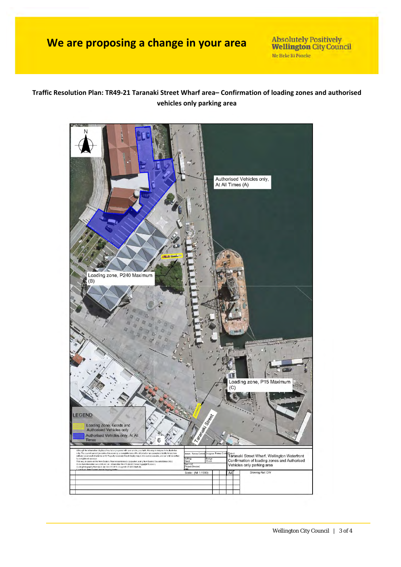## **We are proposing a change in your area**

**Absolutely Positively Wellington City Council** Me Heke Ki Pôneke

### **Traffic Resolution Plan: TR49‐21 Taranaki Street Wharf area– Confirmation of loading zones and authorised vehicles only parking area**